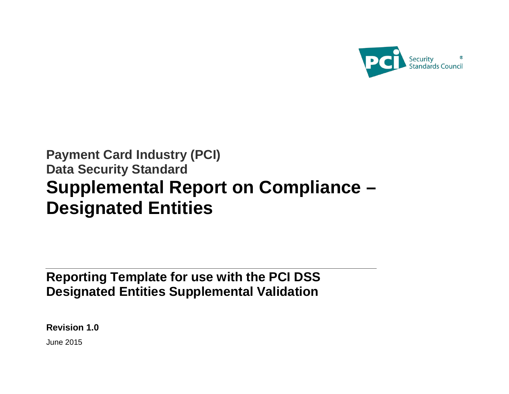

# **Payment Card Industry (PCI) Data Security Standard Supplemental Report on Compliance – Designated Entities**

**Reporting Template for use with the PCI DSS Designated Entities Supplemental Validation**

**Revision 1.0**

June 2015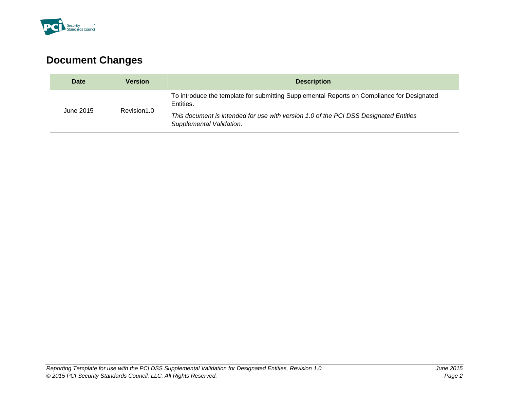

# **Document Changes**

| Date      | <b>Version</b> | <b>Description</b>                                                                                                                                                                                                           |
|-----------|----------------|------------------------------------------------------------------------------------------------------------------------------------------------------------------------------------------------------------------------------|
| June 2015 | Revision1.0    | To introduce the template for submitting Supplemental Reports on Compliance for Designated<br>Entities.<br>This document is intended for use with version 1.0 of the PCI DSS Designated Entities<br>Supplemental Validation. |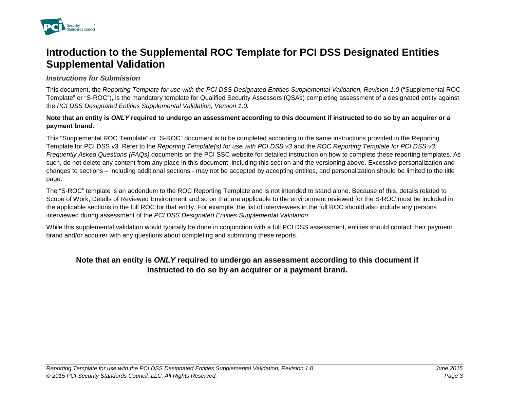

### **Introduction to the Supplemental ROC Template for PCI DSS Designated Entities Supplemental Validation**

#### *Instructions for Submission*

This document, the *Reporting Template for use with the PCI DSS Designated Entities Supplemental Validation, Revision 1.0* ("Supplemental ROC Template" or "S-ROC"), is the mandatory template for Qualified Security Assessors (QSAs) completing assessment of a designated entity against the *PCI DSS Designated Entities Supplemental Validation, Version 1.0.* 

#### **Note that an entity is** *ONLY* **required to undergo an assessment according to this document if instructed to do so by an acquirer or a payment brand.**

This "Supplemental ROC Template" or "S-ROC" document is to be completed according to the same instructions provided in the Reporting Template for PCI DSS v3. Refer to the *Reporting Template(s) for use with PCI DSS v3* and the *ROC Reporting Template for PCI DSS v3: Frequently Asked Questions (FAQs)* documents on the PCI SSC website for detailed instruction on how to complete these reporting templates. As such, do not delete any content from any place in this document, including this section and the versioning above. Excessive personalization and changes to sections – including additional sections - may not be accepted by accepting entities, and personalization should be limited to the title page.

The "S-ROC" template is an addendum to the ROC Reporting Template and is not intended to stand alone. Because of this, details related to Scope of Work, Details of Reviewed Environment and so on that are applicable to the environment reviewed for the S-ROC must be included in the applicable sections in the full ROC for that entity. For example, the list of interviewees in the full ROC should also include any persons interviewed during assessment of the *PCI DSS Designated Entities Supplemental Validation*.

While this supplemental validation would typically be done in conjunction with a full PCI DSS assessment, entities should contact their payment brand and/or acquirer with any questions about completing and submitting these reports.

### **Note that an entity is** *ONLY* **required to undergo an assessment according to this document if instructed to do so by an acquirer or a payment brand.**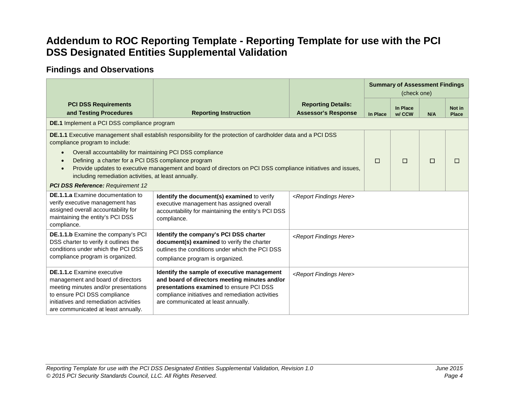## **Addendum to ROC Reporting Template - Reporting Template for use with the PCI DSS Designated Entities Supplemental Validation**

### **Findings and Observations**

|                                                                                                                                                                                                                                 |                                                                                                                                                                                                                                      |                                                         | <b>Summary of Assessment Findings</b><br>(check one) |                    |     |                        |
|---------------------------------------------------------------------------------------------------------------------------------------------------------------------------------------------------------------------------------|--------------------------------------------------------------------------------------------------------------------------------------------------------------------------------------------------------------------------------------|---------------------------------------------------------|------------------------------------------------------|--------------------|-----|------------------------|
| <b>PCI DSS Requirements</b><br>and Testing Procedures                                                                                                                                                                           | <b>Reporting Instruction</b>                                                                                                                                                                                                         | <b>Reporting Details:</b><br><b>Assessor's Response</b> | In Place                                             | In Place<br>w/ CCW | N/A | Not in<br><b>Place</b> |
| DE.1 Implement a PCI DSS compliance program                                                                                                                                                                                     |                                                                                                                                                                                                                                      |                                                         |                                                      |                    |     |                        |
| <b>DE.1.1</b> Executive management shall establish responsibility for the protection of cardholder data and a PCI DSS<br>compliance program to include:<br>Overall accountability for maintaining PCI DSS compliance            |                                                                                                                                                                                                                                      |                                                         |                                                      |                    |     |                        |
| Defining a charter for a PCI DSS compliance program<br>Provide updates to executive management and board of directors on PCI DSS compliance initiatives and issues,<br>including remediation activities, at least annually.     |                                                                                                                                                                                                                                      |                                                         | П                                                    | П                  | П   | П                      |
| <b>PCI DSS Reference: Requirement 12</b>                                                                                                                                                                                        |                                                                                                                                                                                                                                      |                                                         |                                                      |                    |     |                        |
| <b>DE.1.1.a</b> Examine documentation to<br>verify executive management has<br>assigned overall accountability for<br>maintaining the entity's PCI DSS<br>compliance.                                                           | Identify the document(s) examined to verify<br>executive management has assigned overall<br>accountability for maintaining the entity's PCI DSS<br>compliance.                                                                       | <report findings="" here=""></report>                   |                                                      |                    |     |                        |
| DE.1.1.b Examine the company's PCI<br>DSS charter to verify it outlines the<br>conditions under which the PCI DSS<br>compliance program is organized.                                                                           | Identify the company's PCI DSS charter<br>document(s) examined to verify the charter<br>outlines the conditions under which the PCI DSS<br>compliance program is organized.                                                          | <report findings="" here=""></report>                   |                                                      |                    |     |                        |
| <b>DE.1.1.c</b> Examine executive<br>management and board of directors<br>meeting minutes and/or presentations<br>to ensure PCI DSS compliance<br>initiatives and remediation activities<br>are communicated at least annually. | Identify the sample of executive management<br>and board of directors meeting minutes and/or<br>presentations examined to ensure PCI DSS<br>compliance initiatives and remediation activities<br>are communicated at least annually. | <report findings="" here=""></report>                   |                                                      |                    |     |                        |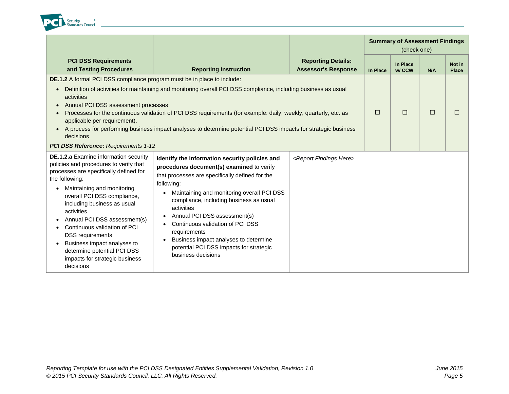

|                                                                                                                                                                                                                                                                                                                                                                                                                                                                                                                                                                                          |                                                                                                                                                                                                                                                                                                                                                                                                                                                                   |                                                         | <b>Summary of Assessment Findings</b><br>(check one) |                    |     |                        |
|------------------------------------------------------------------------------------------------------------------------------------------------------------------------------------------------------------------------------------------------------------------------------------------------------------------------------------------------------------------------------------------------------------------------------------------------------------------------------------------------------------------------------------------------------------------------------------------|-------------------------------------------------------------------------------------------------------------------------------------------------------------------------------------------------------------------------------------------------------------------------------------------------------------------------------------------------------------------------------------------------------------------------------------------------------------------|---------------------------------------------------------|------------------------------------------------------|--------------------|-----|------------------------|
| <b>PCI DSS Requirements</b><br>and Testing Procedures                                                                                                                                                                                                                                                                                                                                                                                                                                                                                                                                    | <b>Reporting Instruction</b>                                                                                                                                                                                                                                                                                                                                                                                                                                      | <b>Reporting Details:</b><br><b>Assessor's Response</b> | In Place                                             | In Place<br>w/ CCW | N/A | Not in<br><b>Place</b> |
| <b>DE.1.2</b> A formal PCI DSS compliance program must be in place to include:<br>Definition of activities for maintaining and monitoring overall PCI DSS compliance, including business as usual<br>activities<br>Annual PCI DSS assessment processes<br>Processes for the continuous validation of PCI DSS requirements (for example: daily, weekly, quarterly, etc. as<br>applicable per requirement).<br>A process for performing business impact analyses to determine potential PCI DSS impacts for strategic business<br>decisions<br><b>PCI DSS Reference: Requirements 1-12</b> | $\Box$                                                                                                                                                                                                                                                                                                                                                                                                                                                            | $\Box$                                                  | □                                                    | $\Box$             |     |                        |
| <b>DE.1.2.a</b> Examine information security<br>policies and procedures to verify that<br>processes are specifically defined for<br>the following:<br>Maintaining and monitoring<br>overall PCI DSS compliance,<br>including business as usual<br>activities<br>Annual PCI DSS assessment(s)<br>Continuous validation of PCI<br><b>DSS</b> requirements<br>Business impact analyses to<br>determine potential PCI DSS<br>impacts for strategic business<br>decisions                                                                                                                     | Identify the information security policies and<br>procedures document(s) examined to verify<br>that processes are specifically defined for the<br>following:<br>Maintaining and monitoring overall PCI DSS<br>compliance, including business as usual<br>activities<br>Annual PCI DSS assessment(s)<br>Continuous validation of PCI DSS<br>requirements<br>Business impact analyses to determine<br>potential PCI DSS impacts for strategic<br>business decisions | <report findings="" here=""></report>                   |                                                      |                    |     |                        |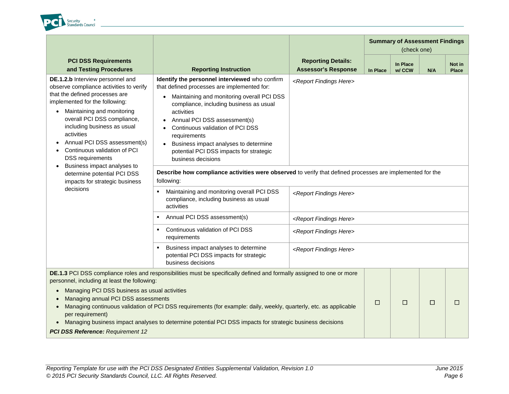

|                                                                                                                                                                                                                                                                                                                                                                                        |                                                                                                                                                                                                                                                                                                                                                                                                    |                                                                                                           | <b>Summary of Assessment Findings</b><br>(check one) |                    |     |                        |  |  |
|----------------------------------------------------------------------------------------------------------------------------------------------------------------------------------------------------------------------------------------------------------------------------------------------------------------------------------------------------------------------------------------|----------------------------------------------------------------------------------------------------------------------------------------------------------------------------------------------------------------------------------------------------------------------------------------------------------------------------------------------------------------------------------------------------|-----------------------------------------------------------------------------------------------------------|------------------------------------------------------|--------------------|-----|------------------------|--|--|
| <b>PCI DSS Requirements</b><br>and Testing Procedures                                                                                                                                                                                                                                                                                                                                  | <b>Reporting Instruction</b>                                                                                                                                                                                                                                                                                                                                                                       | <b>Reporting Details:</b><br><b>Assessor's Response</b>                                                   | In Place                                             | In Place<br>w/ CCW | N/A | Not in<br><b>Place</b> |  |  |
| DE.1.2.b Interview personnel and<br>observe compliance activities to verify<br>that the defined processes are<br>implemented for the following:<br>Maintaining and monitoring<br>overall PCI DSS compliance,<br>including business as usual<br>activities<br>Annual PCI DSS assessment(s)<br>Continuous validation of PCI<br><b>DSS</b> requirements                                   | Identify the personnel interviewed who confirm<br>that defined processes are implemented for:<br>Maintaining and monitoring overall PCI DSS<br>compliance, including business as usual<br>activities<br>Annual PCI DSS assessment(s)<br>Continuous validation of PCI DSS<br>requirements<br>Business impact analyses to determine<br>potential PCI DSS impacts for strategic<br>business decisions | <report findings="" here=""></report>                                                                     |                                                      |                    |     |                        |  |  |
| Business impact analyses to<br>determine potential PCI DSS<br>impacts for strategic business                                                                                                                                                                                                                                                                                           | following:                                                                                                                                                                                                                                                                                                                                                                                         | Describe how compliance activities were observed to verify that defined processes are implemented for the |                                                      |                    |     |                        |  |  |
| decisions                                                                                                                                                                                                                                                                                                                                                                              | Maintaining and monitoring overall PCI DSS<br>compliance, including business as usual<br>activities                                                                                                                                                                                                                                                                                                | <report findings="" here=""></report>                                                                     |                                                      |                    |     |                        |  |  |
|                                                                                                                                                                                                                                                                                                                                                                                        | Annual PCI DSS assessment(s)                                                                                                                                                                                                                                                                                                                                                                       | <report findings="" here=""></report>                                                                     |                                                      |                    |     |                        |  |  |
|                                                                                                                                                                                                                                                                                                                                                                                        | Continuous validation of PCI DSS<br>٠<br>requirements                                                                                                                                                                                                                                                                                                                                              | <report findings="" here=""></report>                                                                     |                                                      |                    |     |                        |  |  |
|                                                                                                                                                                                                                                                                                                                                                                                        | Business impact analyses to determine<br>potential PCI DSS impacts for strategic<br>business decisions                                                                                                                                                                                                                                                                                             | <report findings="" here=""></report>                                                                     |                                                      |                    |     |                        |  |  |
| personnel, including at least the following:                                                                                                                                                                                                                                                                                                                                           | DE.1.3 PCI DSS compliance roles and responsibilities must be specifically defined and formally assigned to one or more                                                                                                                                                                                                                                                                             |                                                                                                           |                                                      |                    |     |                        |  |  |
| Managing PCI DSS business as usual activities<br>Managing annual PCI DSS assessments<br>Managing continuous validation of PCI DSS requirements (for example: daily, weekly, quarterly, etc. as applicable<br>per requirement)<br>Managing business impact analyses to determine potential PCI DSS impacts for strategic business decisions<br><b>PCI DSS Reference: Requirement 12</b> |                                                                                                                                                                                                                                                                                                                                                                                                    |                                                                                                           |                                                      | □                  | □   | $\Box$                 |  |  |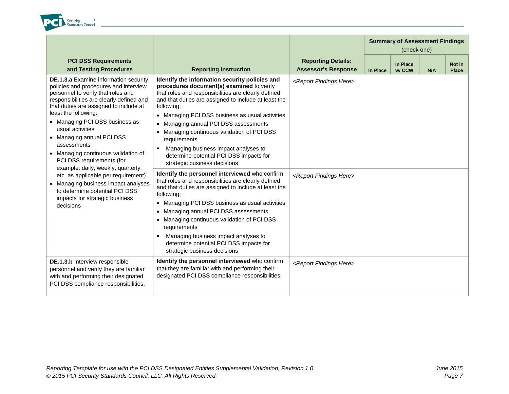

|                                                                                                                                                                                                                                                                                                                                                                                                                                                                                                                                                                                                                      |                                                                                                                                                                                                                                                                                                                                                                                                                                                                                                                                                                                                                                                                                                                                                                                                                                                                                                                                                                                                |                                                                                 | <b>Summary of Assessment Findings</b><br>(check one) |                    |     |                 |  |  |
|----------------------------------------------------------------------------------------------------------------------------------------------------------------------------------------------------------------------------------------------------------------------------------------------------------------------------------------------------------------------------------------------------------------------------------------------------------------------------------------------------------------------------------------------------------------------------------------------------------------------|------------------------------------------------------------------------------------------------------------------------------------------------------------------------------------------------------------------------------------------------------------------------------------------------------------------------------------------------------------------------------------------------------------------------------------------------------------------------------------------------------------------------------------------------------------------------------------------------------------------------------------------------------------------------------------------------------------------------------------------------------------------------------------------------------------------------------------------------------------------------------------------------------------------------------------------------------------------------------------------------|---------------------------------------------------------------------------------|------------------------------------------------------|--------------------|-----|-----------------|--|--|
| <b>PCI DSS Requirements</b><br>and Testing Procedures                                                                                                                                                                                                                                                                                                                                                                                                                                                                                                                                                                | <b>Reporting Instruction</b>                                                                                                                                                                                                                                                                                                                                                                                                                                                                                                                                                                                                                                                                                                                                                                                                                                                                                                                                                                   | <b>Reporting Details:</b><br><b>Assessor's Response</b>                         | In Place                                             | In Place<br>w/ CCW | N/A | Not in<br>Place |  |  |
| <b>DE.1.3.a</b> Examine information security<br>policies and procedures and interview<br>personnel to verify that roles and<br>responsibilities are clearly defined and<br>that duties are assigned to include at<br>least the following:<br>• Managing PCI DSS business as<br>usual activities<br>• Managing annual PCI DSS<br>assessments<br>• Managing continuous validation of<br>PCI DSS requirements (for<br>example: daily, weekly, quarterly,<br>etc. as applicable per requirement)<br>• Managing business impact analyses<br>to determine potential PCI DSS<br>impacts for strategic business<br>decisions | Identify the information security policies and<br>procedures document(s) examined to verify<br>that roles and responsibilities are clearly defined<br>and that duties are assigned to include at least the<br>following:<br>• Managing PCI DSS business as usual activities<br>• Managing annual PCI DSS assessments<br>Managing continuous validation of PCI DSS<br>$\bullet$<br>requirements<br>Managing business impact analyses to<br>٠<br>determine potential PCI DSS impacts for<br>strategic business decisions<br>Identify the personnel interviewed who confirm<br>that roles and responsibilities are clearly defined<br>and that duties are assigned to include at least the<br>following:<br>• Managing PCI DSS business as usual activities<br>Managing annual PCI DSS assessments<br>$\bullet$<br>• Managing continuous validation of PCI DSS<br>requirements<br>Managing business impact analyses to<br>determine potential PCI DSS impacts for<br>strategic business decisions | <report findings="" here=""><br/><report findings="" here=""></report></report> |                                                      |                    |     |                 |  |  |
| DE.1.3.b Interview responsible<br>personnel and verify they are familiar<br>with and performing their designated<br>PCI DSS compliance responsibilities.                                                                                                                                                                                                                                                                                                                                                                                                                                                             | Identify the personnel interviewed who confirm<br>that they are familiar with and performing their<br>designated PCI DSS compliance responsibilities.                                                                                                                                                                                                                                                                                                                                                                                                                                                                                                                                                                                                                                                                                                                                                                                                                                          | <report findings="" here=""></report>                                           |                                                      |                    |     |                 |  |  |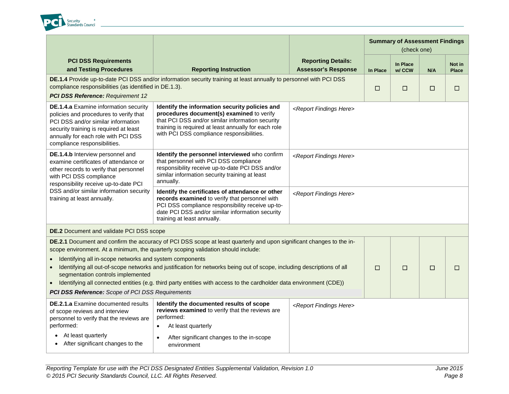

|                                                                                                                                                                                                                                                                                                                                                                                                                                                                                                                                                                                                                       |                                                                                                                                                                                                                                                      |                                                         |          | <b>Summary of Assessment Findings</b><br>(check one) |     |                        |
|-----------------------------------------------------------------------------------------------------------------------------------------------------------------------------------------------------------------------------------------------------------------------------------------------------------------------------------------------------------------------------------------------------------------------------------------------------------------------------------------------------------------------------------------------------------------------------------------------------------------------|------------------------------------------------------------------------------------------------------------------------------------------------------------------------------------------------------------------------------------------------------|---------------------------------------------------------|----------|------------------------------------------------------|-----|------------------------|
| <b>PCI DSS Requirements</b><br>and Testing Procedures                                                                                                                                                                                                                                                                                                                                                                                                                                                                                                                                                                 | <b>Reporting Instruction</b>                                                                                                                                                                                                                         | <b>Reporting Details:</b><br><b>Assessor's Response</b> | In Place | In Place<br>w/ CCW                                   | N/A | Not in<br><b>Place</b> |
| compliance responsibilities (as identified in DE.1.3).<br>PCI DSS Reference: Requirement 12                                                                                                                                                                                                                                                                                                                                                                                                                                                                                                                           | DE.1.4 Provide up-to-date PCI DSS and/or information security training at least annually to personnel with PCI DSS                                                                                                                                   |                                                         | □        | □                                                    | □   | $\Box$                 |
| <b>DE.1.4.a</b> Examine information security<br>policies and procedures to verify that<br>PCI DSS and/or similar information<br>security training is required at least<br>annually for each role with PCI DSS<br>compliance responsibilities.                                                                                                                                                                                                                                                                                                                                                                         | Identify the information security policies and<br>procedures document(s) examined to verify<br>that PCI DSS and/or similar information security<br>training is required at least annually for each role<br>with PCI DSS compliance responsibilities. | <report findings="" here=""></report>                   |          |                                                      |     |                        |
| DE.1.4.b Interview personnel and<br>examine certificates of attendance or<br>other records to verify that personnel<br>with PCI DSS compliance<br>responsibility receive up-to-date PCI                                                                                                                                                                                                                                                                                                                                                                                                                               | Identify the personnel interviewed who confirm<br>that personnel with PCI DSS compliance<br>responsibility receive up-to-date PCI DSS and/or<br>similar information security training at least<br>annually.                                          | <report findings="" here=""></report>                   |          |                                                      |     |                        |
| DSS and/or similar information security<br>training at least annually.                                                                                                                                                                                                                                                                                                                                                                                                                                                                                                                                                | Identify the certificates of attendance or other<br>records examined to verify that personnel with<br>PCI DSS compliance responsibility receive up-to-<br>date PCI DSS and/or similar information security<br>training at least annually.            | <report findings="" here=""></report>                   |          |                                                      |     |                        |
| <b>DE.2</b> Document and validate PCI DSS scope                                                                                                                                                                                                                                                                                                                                                                                                                                                                                                                                                                       |                                                                                                                                                                                                                                                      |                                                         |          |                                                      |     |                        |
| DE.2.1 Document and confirm the accuracy of PCI DSS scope at least quarterly and upon significant changes to the in-<br>scope environment. At a minimum, the quarterly scoping validation should include:<br>Identifying all in-scope networks and system components<br>Identifying all out-of-scope networks and justification for networks being out of scope, including descriptions of all<br>segmentation controls implemented<br>Identifying all connected entities (e.g. third party entities with access to the cardholder data environment (CDE))<br><b>PCI DSS Reference:</b> Scope of PCI DSS Requirements | $\Box$                                                                                                                                                                                                                                               | $\Box$                                                  | □        | $\Box$                                               |     |                        |
| <b>DE.2.1.a</b> Examine documented results<br>of scope reviews and interview<br>personnel to verify that the reviews are<br>performed:<br>At least quarterly<br>$\bullet$<br>After significant changes to the                                                                                                                                                                                                                                                                                                                                                                                                         | Identify the documented results of scope<br>reviews examined to verify that the reviews are<br>performed:<br>At least quarterly<br>$\bullet$<br>After significant changes to the in-scope<br>$\bullet$<br>environment                                | <report findings="" here=""></report>                   |          |                                                      |     |                        |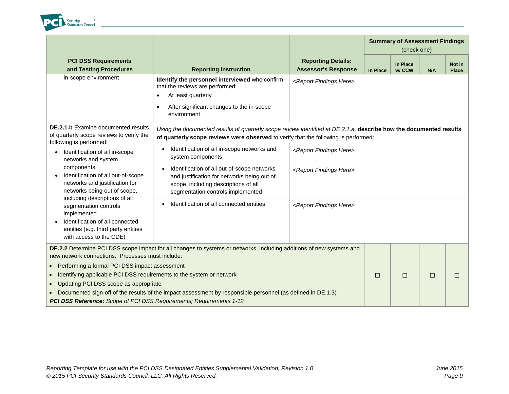

|                                                                                                                                                                                                                                                                                                                                                      |                                                                                                                                                                                               |                                                         | <b>Summary of Assessment Findings</b><br>(check one) |                    |     |                        |
|------------------------------------------------------------------------------------------------------------------------------------------------------------------------------------------------------------------------------------------------------------------------------------------------------------------------------------------------------|-----------------------------------------------------------------------------------------------------------------------------------------------------------------------------------------------|---------------------------------------------------------|------------------------------------------------------|--------------------|-----|------------------------|
| <b>PCI DSS Requirements</b><br>and Testing Procedures                                                                                                                                                                                                                                                                                                | <b>Reporting Instruction</b>                                                                                                                                                                  | <b>Reporting Details:</b><br><b>Assessor's Response</b> | In Place                                             | In Place<br>w/ CCW | N/A | Not in<br><b>Place</b> |
| in-scope environment                                                                                                                                                                                                                                                                                                                                 | Identify the personnel interviewed who confirm<br>that the reviews are performed:<br>At least quarterly<br>$\bullet$<br>After significant changes to the in-scope<br>$\bullet$<br>environment | <report findings="" here=""></report>                   |                                                      |                    |     |                        |
| <b>DE.2.1.b</b> Examine documented results<br>Using the documented results of quarterly scope review identified at DE 2.1.a, describe how the documented results<br>of quarterly scope reviews to verify the<br>of quarterly scope reviews were observed to verify that the following is performed:<br>following is performed:                       |                                                                                                                                                                                               |                                                         |                                                      |                    |     |                        |
| Identification of all in-scope<br>networks and system<br>components<br>Identification of all out-of-scope<br>networks and justification for<br>networks being out of scope,                                                                                                                                                                          | Identification of all in-scope networks and<br>$\bullet$<br>system components                                                                                                                 | <report findings="" here=""></report>                   |                                                      |                    |     |                        |
|                                                                                                                                                                                                                                                                                                                                                      | Identification of all out-of-scope networks<br>$\bullet$<br>and justification for networks being out of<br>scope, including descriptions of all<br>segmentation controls implemented          | <report findings="" here=""></report>                   |                                                      |                    |     |                        |
| including descriptions of all<br>segmentation controls<br>implemented<br>Identification of all connected<br>entities (e.g. third party entities<br>with access to the CDE)                                                                                                                                                                           | Identification of all connected entities                                                                                                                                                      | <report findings="" here=""></report>                   |                                                      |                    |     |                        |
| new network connections. Processes must include:                                                                                                                                                                                                                                                                                                     | DE.2.2 Determine PCI DSS scope impact for all changes to systems or networks, including additions of new systems and                                                                          |                                                         |                                                      |                    |     |                        |
| Performing a formal PCI DSS impact assessment<br>Identifying applicable PCI DSS requirements to the system or network<br>Updating PCI DSS scope as appropriate<br>Documented sign-off of the results of the impact assessment by responsible personnel (as defined in DE.1.3)<br>PCI DSS Reference: Scope of PCI DSS Requirements; Requirements 1-12 |                                                                                                                                                                                               |                                                         |                                                      | $\Box$             | □   | □                      |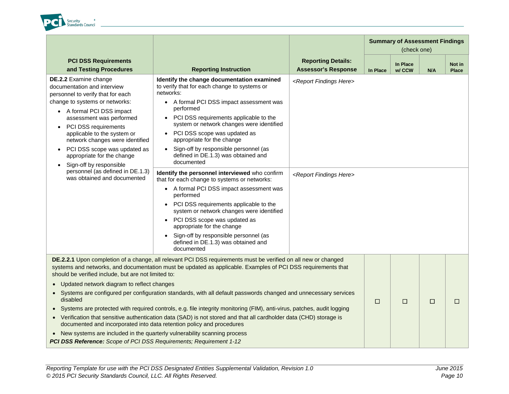

|                                                                                                                                                                                                                                                                                                                                                                                                                                                                                                                                                                                                    |                                                                                                                                                                                                                                                                                                                                                                                                                                                                                                                                                                                                                                                                                                                                                                                                                                                                     |                                                                                 | <b>Summary of Assessment Findings</b><br>(check one) |                    |     |                        |  |
|----------------------------------------------------------------------------------------------------------------------------------------------------------------------------------------------------------------------------------------------------------------------------------------------------------------------------------------------------------------------------------------------------------------------------------------------------------------------------------------------------------------------------------------------------------------------------------------------------|---------------------------------------------------------------------------------------------------------------------------------------------------------------------------------------------------------------------------------------------------------------------------------------------------------------------------------------------------------------------------------------------------------------------------------------------------------------------------------------------------------------------------------------------------------------------------------------------------------------------------------------------------------------------------------------------------------------------------------------------------------------------------------------------------------------------------------------------------------------------|---------------------------------------------------------------------------------|------------------------------------------------------|--------------------|-----|------------------------|--|
| <b>PCI DSS Requirements</b><br>and Testing Procedures                                                                                                                                                                                                                                                                                                                                                                                                                                                                                                                                              | <b>Reporting Instruction</b>                                                                                                                                                                                                                                                                                                                                                                                                                                                                                                                                                                                                                                                                                                                                                                                                                                        | <b>Reporting Details:</b><br><b>Assessor's Response</b>                         | In Place                                             | In Place<br>w/ CCW | N/A | Not in<br><b>Place</b> |  |
| DE.2.2 Examine change<br>documentation and interview<br>personnel to verify that for each<br>change to systems or networks:<br>• A formal PCI DSS impact<br>assessment was performed<br>PCI DSS requirements<br>applicable to the system or<br>network changes were identified<br>PCI DSS scope was updated as<br>appropriate for the change<br>Sign-off by responsible<br>personnel (as defined in DE.1.3)<br>was obtained and documented                                                                                                                                                         | Identify the change documentation examined<br>to verify that for each change to systems or<br>networks:<br>• A formal PCI DSS impact assessment was<br>performed<br>• PCI DSS requirements applicable to the<br>system or network changes were identified<br>PCI DSS scope was updated as<br>$\bullet$<br>appropriate for the change<br>• Sign-off by responsible personnel (as<br>defined in DE.1.3) was obtained and<br>documented<br>Identify the personnel interviewed who confirm<br>that for each change to systems or networks:<br>• A formal PCI DSS impact assessment was<br>performed<br>• PCI DSS requirements applicable to the<br>system or network changes were identified<br>• PCI DSS scope was updated as<br>appropriate for the change<br>Sign-off by responsible personnel (as<br>$\bullet$<br>defined in DE.1.3) was obtained and<br>documented | <report findings="" here=""><br/><report findings="" here=""></report></report> |                                                      |                    |     |                        |  |
| DE.2.2.1 Upon completion of a change, all relevant PCI DSS requirements must be verified on all new or changed<br>systems and networks, and documentation must be updated as applicable. Examples of PCI DSS requirements that<br>should be verified include, but are not limited to:<br>• Updated network diagram to reflect changes<br>• Systems are configured per configuration standards, with all default passwords changed and unnecessary services<br>disabled<br>• Systems are protected with required controls, e.g. file integrity monitoring (FIM), anti-virus, patches, audit logging |                                                                                                                                                                                                                                                                                                                                                                                                                                                                                                                                                                                                                                                                                                                                                                                                                                                                     |                                                                                 |                                                      | □                  | □   | $\Box$                 |  |
| documented and incorporated into data retention policy and procedures<br>• New systems are included in the quarterly vulnerability scanning process<br>PCI DSS Reference: Scope of PCI DSS Requirements; Requirement 1-12                                                                                                                                                                                                                                                                                                                                                                          | • Verification that sensitive authentication data (SAD) is not stored and that all cardholder data (CHD) storage is                                                                                                                                                                                                                                                                                                                                                                                                                                                                                                                                                                                                                                                                                                                                                 |                                                                                 |                                                      |                    |     |                        |  |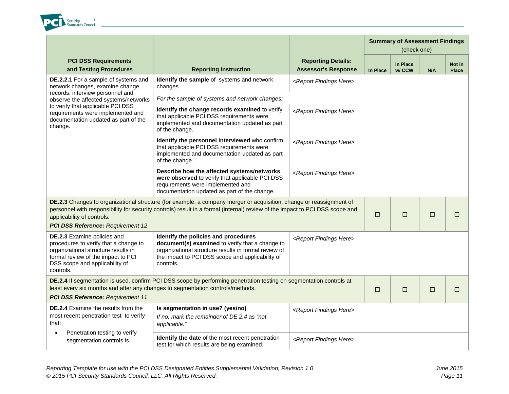

|                                                                                                                                                                                                  |                                                                                                                                                                                                                                                     |                                                         |          | <b>Summary of Assessment Findings</b><br>(check one) |        |                        |
|--------------------------------------------------------------------------------------------------------------------------------------------------------------------------------------------------|-----------------------------------------------------------------------------------------------------------------------------------------------------------------------------------------------------------------------------------------------------|---------------------------------------------------------|----------|------------------------------------------------------|--------|------------------------|
| <b>PCI DSS Requirements</b><br>and Testing Procedures                                                                                                                                            | <b>Reporting Instruction</b>                                                                                                                                                                                                                        | <b>Reporting Details:</b><br><b>Assessor's Response</b> | In Place | In Place<br>w/ CCW                                   | N/A    | Not in<br><b>Place</b> |
| DE.2.2.1 For a sample of systems and<br>network changes, examine change                                                                                                                          | Identify the sample of systems and network<br>changes.                                                                                                                                                                                              | <report findings="" here=""></report>                   |          |                                                      |        |                        |
| records, interview personnel and<br>observe the affected systems/networks                                                                                                                        | For the sample of systems and network changes:                                                                                                                                                                                                      |                                                         |          |                                                      |        |                        |
| to verify that applicable PCI DSS<br>requirements were implemented and<br>documentation updated as part of the<br>change.                                                                        | Identify the change records examined to verify<br>that applicable PCI DSS requirements were<br>implemented and documentation updated as part<br>of the change.                                                                                      | <report findings="" here=""></report>                   |          |                                                      |        |                        |
|                                                                                                                                                                                                  | Identify the personnel interviewed who confirm<br>that applicable PCI DSS requirements were<br>implemented and documentation updated as part<br>of the change.                                                                                      | <report findings="" here=""></report>                   |          |                                                      |        |                        |
|                                                                                                                                                                                                  | Describe how the affected systems/networks<br>were observed to verify that applicable PCI DSS<br>requirements were implemented and<br>documentation updated as part of the change.                                                                  | <report findings="" here=""></report>                   |          |                                                      |        |                        |
| applicability of controls.<br>PCI DSS Reference: Requirement 12                                                                                                                                  | DE.2.3 Changes to organizational structure (for example, a company merger or acquisition, change or reassignment of<br>personnel with responsibility for security controls) result in a formal (internal) review of the impact to PCI DSS scope and |                                                         | $\Box$   | $\Box$                                               | $\Box$ | $\Box$                 |
| DE.2.3 Examine policies and<br>procedures to verify that a change to<br>organizational structure results in<br>formal review of the impact to PCI<br>DSS scope and applicability of<br>controls. | Identify the policies and procedures<br>document(s) examined to verify that a change to<br>organizational structure results in formal review of<br>the impact to PCI DSS scope and applicability of<br>controls.                                    | <report findings="" here=""></report>                   |          |                                                      |        |                        |
|                                                                                                                                                                                                  | DE.2.4 If segmentation is used, confirm PCI DSS scope by performing penetration testing on segmentation controls at<br>least every six months and after any changes to segmentation controls/methods.                                               |                                                         | $\Box$   | $\Box$                                               | □      | $\Box$                 |
| <b>PCI DSS Reference: Requirement 11</b>                                                                                                                                                         |                                                                                                                                                                                                                                                     |                                                         |          |                                                      |        |                        |
| <b>DE.2.4</b> Examine the results from the<br>most recent penetration test to verify<br>that:                                                                                                    | Is segmentation in use? (yes/no)<br>If no, mark the remainder of DE 2.4 as "not<br>applicable."                                                                                                                                                     | <report findings="" here=""></report>                   |          |                                                      |        |                        |
| Penetration testing to verify<br>segmentation controls is                                                                                                                                        | <b>Identify the date</b> of the most recent penetration<br>test for which results are being examined.                                                                                                                                               | <report findings="" here=""></report>                   |          |                                                      |        |                        |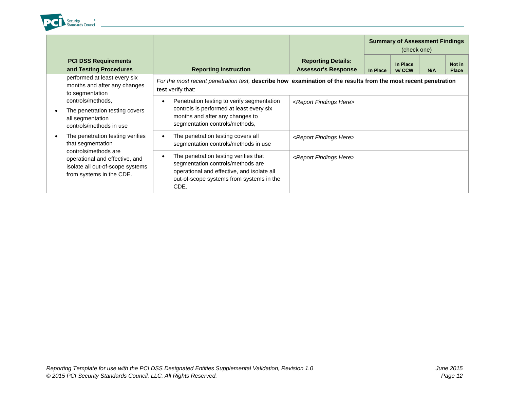

|                                                                                                                        |                                                                                                                                                                                           |                                                         | <b>Summary of Assessment Findings</b><br>(check one) |                    |     |                        |
|------------------------------------------------------------------------------------------------------------------------|-------------------------------------------------------------------------------------------------------------------------------------------------------------------------------------------|---------------------------------------------------------|------------------------------------------------------|--------------------|-----|------------------------|
| <b>PCI DSS Requirements</b><br>and Testing Procedures                                                                  | <b>Reporting Instruction</b>                                                                                                                                                              | <b>Reporting Details:</b><br><b>Assessor's Response</b> | In Place                                             | In Place<br>w/ CCW | N/A | Not in<br><b>Place</b> |
| performed at least every six<br>months and after any changes<br>to segmentation                                        | For the most recent penetration test, describe how examination of the results from the most recent penetration<br>test verify that:                                                       |                                                         |                                                      |                    |     |                        |
| controls/methods,                                                                                                      | Penetration testing to verify segmentation<br>٠                                                                                                                                           | <report findings="" here=""></report>                   |                                                      |                    |     |                        |
| The penetration testing covers<br>all segmentation<br>controls/methods in use                                          | controls is performed at least every six<br>months and after any changes to<br>segmentation controls/methods,                                                                             |                                                         |                                                      |                    |     |                        |
| The penetration testing verifies<br>that segmentation                                                                  | The penetration testing covers all<br>$\bullet$<br>segmentation controls/methods in use                                                                                                   | <report findings="" here=""></report>                   |                                                      |                    |     |                        |
| controls/methods are<br>operational and effective, and<br>isolate all out-of-scope systems<br>from systems in the CDE. | The penetration testing verifies that<br>$\bullet$<br>segmentation controls/methods are<br>operational and effective, and isolate all<br>out-of-scope systems from systems in the<br>CDE. | <report findings="" here=""></report>                   |                                                      |                    |     |                        |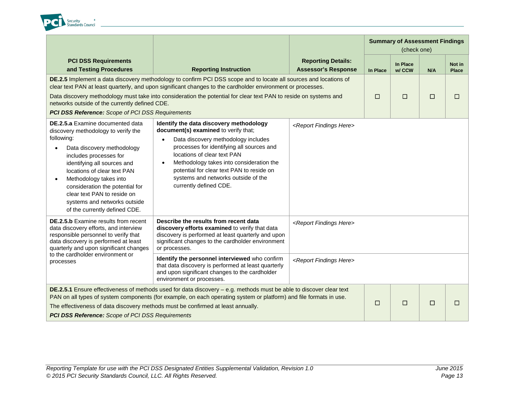

|                                                                                                                                                                                                                                                                                                                                                                                          |                                                                                                                                                                                                                                                                                                                                                                           |                                                         |          |                           | <b>Summary of Assessment Findings</b><br>(check one) |                        |
|------------------------------------------------------------------------------------------------------------------------------------------------------------------------------------------------------------------------------------------------------------------------------------------------------------------------------------------------------------------------------------------|---------------------------------------------------------------------------------------------------------------------------------------------------------------------------------------------------------------------------------------------------------------------------------------------------------------------------------------------------------------------------|---------------------------------------------------------|----------|---------------------------|------------------------------------------------------|------------------------|
| <b>PCI DSS Requirements</b><br>and Testing Procedures                                                                                                                                                                                                                                                                                                                                    | <b>Reporting Instruction</b>                                                                                                                                                                                                                                                                                                                                              | <b>Reporting Details:</b><br><b>Assessor's Response</b> | In Place | <b>In Place</b><br>w/ CCW | N/A                                                  | Not in<br><b>Place</b> |
|                                                                                                                                                                                                                                                                                                                                                                                          | DE.2.5 Implement a data discovery methodology to confirm PCI DSS scope and to locate all sources and locations of<br>clear text PAN at least quarterly, and upon significant changes to the cardholder environment or processes.                                                                                                                                          |                                                         |          |                           |                                                      |                        |
| networks outside of the currently defined CDE.                                                                                                                                                                                                                                                                                                                                           | Data discovery methodology must take into consideration the potential for clear text PAN to reside on systems and                                                                                                                                                                                                                                                         |                                                         | $\Box$   | $\Box$                    | □                                                    | $\Box$                 |
| <b>PCI DSS Reference:</b> Scope of PCI DSS Requirements                                                                                                                                                                                                                                                                                                                                  |                                                                                                                                                                                                                                                                                                                                                                           |                                                         |          |                           |                                                      |                        |
| DE.2.5.a Examine documented data<br>discovery methodology to verify the<br>following:<br>Data discovery methodology<br>$\bullet$<br>includes processes for<br>identifying all sources and<br>locations of clear text PAN<br>Methodology takes into<br>consideration the potential for<br>clear text PAN to reside on<br>systems and networks outside<br>of the currently defined CDE.    | Identify the data discovery methodology<br>document(s) examined to verify that;<br>Data discovery methodology includes<br>processes for identifying all sources and<br>locations of clear text PAN<br>Methodology takes into consideration the<br>$\bullet$<br>potential for clear text PAN to reside on<br>systems and networks outside of the<br>currently defined CDE. | <report findings="" here=""></report>                   |          |                           |                                                      |                        |
| <b>DE.2.5.b</b> Examine results from recent<br>data discovery efforts, and interview<br>responsible personnel to verify that<br>data discovery is performed at least<br>quarterly and upon significant changes                                                                                                                                                                           | Describe the results from recent data<br>discovery efforts examined to verify that data<br>discovery is performed at least quarterly and upon<br>significant changes to the cardholder environment<br>or processes.                                                                                                                                                       | <report findings="" here=""></report>                   |          |                           |                                                      |                        |
| to the cardholder environment or<br>processes                                                                                                                                                                                                                                                                                                                                            | Identify the personnel interviewed who confirm<br>that data discovery is performed at least quarterly<br>and upon significant changes to the cardholder<br>environment or processes.                                                                                                                                                                                      | <report findings="" here=""></report>                   |          |                           |                                                      |                        |
| DE.2.5.1 Ensure effectiveness of methods used for data discovery - e.g. methods must be able to discover clear text<br>PAN on all types of system components (for example, on each operating system or platform) and file formats in use.<br>The effectiveness of data discovery methods must be confirmed at least annually.<br><b>PCI DSS Reference:</b> Scope of PCI DSS Requirements |                                                                                                                                                                                                                                                                                                                                                                           |                                                         |          | $\Box$                    | □                                                    | $\Box$                 |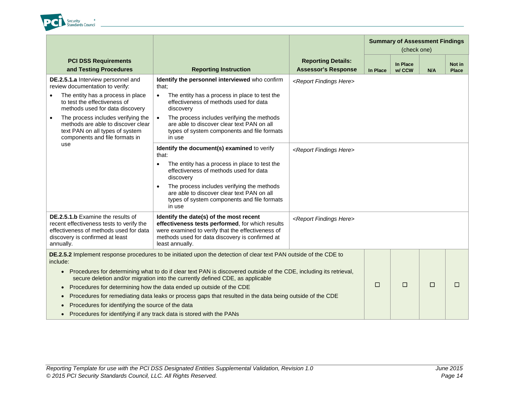

|                                                                                                                                                                                                                                                                                            |                                                                                                                                                                         |                                                                                                                                                                                                                        |                                                         |                 |                    | <b>Summary of Assessment Findings</b><br>(check one) |                        |
|--------------------------------------------------------------------------------------------------------------------------------------------------------------------------------------------------------------------------------------------------------------------------------------------|-------------------------------------------------------------------------------------------------------------------------------------------------------------------------|------------------------------------------------------------------------------------------------------------------------------------------------------------------------------------------------------------------------|---------------------------------------------------------|-----------------|--------------------|------------------------------------------------------|------------------------|
|                                                                                                                                                                                                                                                                                            | <b>PCI DSS Requirements</b><br>and Testing Procedures                                                                                                                   | <b>Reporting Instruction</b>                                                                                                                                                                                           | <b>Reporting Details:</b><br><b>Assessor's Response</b> | <b>In Place</b> | In Place<br>w/ CCW | N/A                                                  | Not in<br><b>Place</b> |
|                                                                                                                                                                                                                                                                                            | DE.2.5.1.a Interview personnel and<br>review documentation to verify:                                                                                                   | Identify the personnel interviewed who confirm<br>that:                                                                                                                                                                | <report findings="" here=""></report>                   |                 |                    |                                                      |                        |
|                                                                                                                                                                                                                                                                                            | The entity has a process in place<br>to test the effectiveness of<br>methods used for data discovery                                                                    | The entity has a process in place to test the<br>$\bullet$<br>effectiveness of methods used for data<br>discovery                                                                                                      |                                                         |                 |                    |                                                      |                        |
| $\bullet$                                                                                                                                                                                                                                                                                  | The process includes verifying the<br>methods are able to discover clear<br>text PAN on all types of system<br>components and file formats in                           | The process includes verifying the methods<br>are able to discover clear text PAN on all<br>types of system components and file formats<br>in use                                                                      |                                                         |                 |                    |                                                      |                        |
|                                                                                                                                                                                                                                                                                            | use                                                                                                                                                                     | Identify the document(s) examined to verify<br>that:                                                                                                                                                                   | <report findings="" here=""></report>                   |                 |                    |                                                      |                        |
|                                                                                                                                                                                                                                                                                            |                                                                                                                                                                         | The entity has a process in place to test the<br>$\bullet$<br>effectiveness of methods used for data<br>discovery                                                                                                      |                                                         |                 |                    |                                                      |                        |
|                                                                                                                                                                                                                                                                                            |                                                                                                                                                                         | The process includes verifying the methods<br>$\bullet$<br>are able to discover clear text PAN on all<br>types of system components and file formats<br>in use                                                         |                                                         |                 |                    |                                                      |                        |
|                                                                                                                                                                                                                                                                                            | DE.2.5.1.b Examine the results of<br>recent effectiveness tests to verify the<br>effectiveness of methods used for data<br>discovery is confirmed at least<br>annually. | Identify the date(s) of the most recent<br>effectiveness tests performed, for which results<br>were examined to verify that the effectiveness of<br>methods used for data discovery is confirmed at<br>least annually. | <report findings="" here=""></report>                   |                 |                    |                                                      |                        |
|                                                                                                                                                                                                                                                                                            | include:                                                                                                                                                                | DE.2.5.2 Implement response procedures to be initiated upon the detection of clear text PAN outside of the CDE to                                                                                                      |                                                         |                 |                    |                                                      |                        |
| • Procedures for determining what to do if clear text PAN is discovered outside of the CDE, including its retrieval,<br>secure deletion and/or migration into the currently defined CDE, as applicable<br>Procedures for determining how the data ended up outside of the CDE<br>$\bullet$ |                                                                                                                                                                         |                                                                                                                                                                                                                        |                                                         |                 |                    |                                                      |                        |
|                                                                                                                                                                                                                                                                                            |                                                                                                                                                                         |                                                                                                                                                                                                                        | □                                                       | $\Box$          | □                  | $\Box$                                               |                        |
|                                                                                                                                                                                                                                                                                            |                                                                                                                                                                         | Procedures for remediating data leaks or process gaps that resulted in the data being outside of the CDE                                                                                                               |                                                         |                 |                    |                                                      |                        |
|                                                                                                                                                                                                                                                                                            | Procedures for identifying the source of the data                                                                                                                       |                                                                                                                                                                                                                        |                                                         |                 |                    |                                                      |                        |
| Procedures for identifying if any track data is stored with the PANs                                                                                                                                                                                                                       |                                                                                                                                                                         |                                                                                                                                                                                                                        |                                                         |                 |                    |                                                      |                        |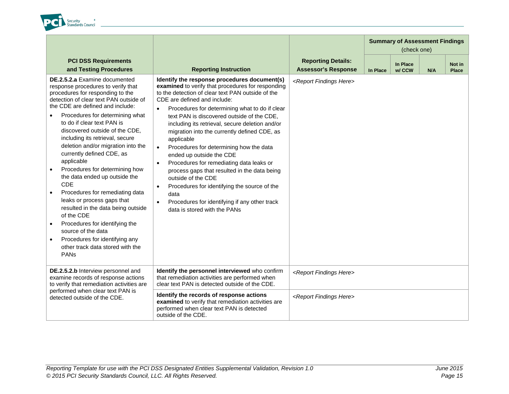

|                                                                                                                                                                                                                                                                                                                                                                                                                                                                                                                                                                                                                                                                                                                                                                                          |                                                                                                                                                                                                                                                                                                                                                                                                                                                                                                                                                                                                                                                                                                                                                                                                            |                                                         |          | <b>Summary of Assessment Findings</b><br>(check one) |     |                        |
|------------------------------------------------------------------------------------------------------------------------------------------------------------------------------------------------------------------------------------------------------------------------------------------------------------------------------------------------------------------------------------------------------------------------------------------------------------------------------------------------------------------------------------------------------------------------------------------------------------------------------------------------------------------------------------------------------------------------------------------------------------------------------------------|------------------------------------------------------------------------------------------------------------------------------------------------------------------------------------------------------------------------------------------------------------------------------------------------------------------------------------------------------------------------------------------------------------------------------------------------------------------------------------------------------------------------------------------------------------------------------------------------------------------------------------------------------------------------------------------------------------------------------------------------------------------------------------------------------------|---------------------------------------------------------|----------|------------------------------------------------------|-----|------------------------|
| <b>PCI DSS Requirements</b><br>and Testing Procedures                                                                                                                                                                                                                                                                                                                                                                                                                                                                                                                                                                                                                                                                                                                                    | <b>Reporting Instruction</b>                                                                                                                                                                                                                                                                                                                                                                                                                                                                                                                                                                                                                                                                                                                                                                               | <b>Reporting Details:</b><br><b>Assessor's Response</b> | In Place | In Place<br>w/ CCW                                   | N/A | Not in<br><b>Place</b> |
| DE.2.5.2.a Examine documented<br>response procedures to verify that<br>procedures for responding to the<br>detection of clear text PAN outside of<br>the CDE are defined and include:<br>Procedures for determining what<br>to do if clear text PAN is<br>discovered outside of the CDE,<br>including its retrieval, secure<br>deletion and/or migration into the<br>currently defined CDE, as<br>applicable<br>Procedures for determining how<br>$\bullet$<br>the data ended up outside the<br>CDE<br>Procedures for remediating data<br>$\bullet$<br>leaks or process gaps that<br>resulted in the data being outside<br>of the CDE<br>Procedures for identifying the<br>$\bullet$<br>source of the data<br>Procedures for identifying any<br>other track data stored with the<br>PANS | Identify the response procedures document(s)<br>examined to verify that procedures for responding<br>to the detection of clear text PAN outside of the<br>CDE are defined and include:<br>Procedures for determining what to do if clear<br>$\bullet$<br>text PAN is discovered outside of the CDE,<br>including its retrieval, secure deletion and/or<br>migration into the currently defined CDE, as<br>applicable<br>Procedures for determining how the data<br>$\bullet$<br>ended up outside the CDE<br>Procedures for remediating data leaks or<br>$\bullet$<br>process gaps that resulted in the data being<br>outside of the CDE<br>Procedures for identifying the source of the<br>$\bullet$<br>data<br>Procedures for identifying if any other track<br>$\bullet$<br>data is stored with the PANs | <report findings="" here=""></report>                   |          |                                                      |     |                        |
| DE.2.5.2.b Interview personnel and<br>examine records of response actions<br>to verify that remediation activities are                                                                                                                                                                                                                                                                                                                                                                                                                                                                                                                                                                                                                                                                   | Identify the personnel interviewed who confirm<br>that remediation activities are performed when<br>clear text PAN is detected outside of the CDE.                                                                                                                                                                                                                                                                                                                                                                                                                                                                                                                                                                                                                                                         | <report findings="" here=""></report>                   |          |                                                      |     |                        |
| performed when clear text PAN is<br>detected outside of the CDE.                                                                                                                                                                                                                                                                                                                                                                                                                                                                                                                                                                                                                                                                                                                         | Identify the records of response actions<br>examined to verify that remediation activities are<br>performed when clear text PAN is detected<br>outside of the CDE.                                                                                                                                                                                                                                                                                                                                                                                                                                                                                                                                                                                                                                         | <report findings="" here=""></report>                   |          |                                                      |     |                        |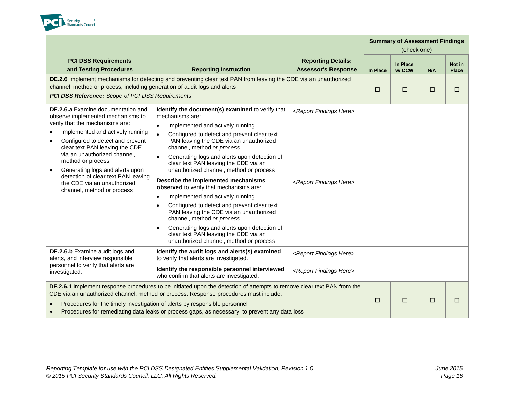

|                                                                                                                                                                                                                                                                                                                                                                                                                                                   |                                                                                                                                                                                                                                                                                                                                                                                                                                                                                                                                                                                                                                                                                                                                                                                                                        |                                                                                 | <b>Summary of Assessment Findings</b><br>(check one) |                    |        |                        |
|---------------------------------------------------------------------------------------------------------------------------------------------------------------------------------------------------------------------------------------------------------------------------------------------------------------------------------------------------------------------------------------------------------------------------------------------------|------------------------------------------------------------------------------------------------------------------------------------------------------------------------------------------------------------------------------------------------------------------------------------------------------------------------------------------------------------------------------------------------------------------------------------------------------------------------------------------------------------------------------------------------------------------------------------------------------------------------------------------------------------------------------------------------------------------------------------------------------------------------------------------------------------------------|---------------------------------------------------------------------------------|------------------------------------------------------|--------------------|--------|------------------------|
| <b>PCI DSS Requirements</b><br>and Testing Procedures                                                                                                                                                                                                                                                                                                                                                                                             | <b>Reporting Instruction</b>                                                                                                                                                                                                                                                                                                                                                                                                                                                                                                                                                                                                                                                                                                                                                                                           | <b>Reporting Details:</b><br><b>Assessor's Response</b>                         | In Place                                             | In Place<br>w/ CCW | N/A    | Not in<br><b>Place</b> |
|                                                                                                                                                                                                                                                                                                                                                                                                                                                   | DE.2.6 Implement mechanisms for detecting and preventing clear text PAN from leaving the CDE via an unauthorized<br>channel, method or process, including generation of audit logs and alerts.<br><b>PCI DSS Reference:</b> Scope of PCI DSS Requirements                                                                                                                                                                                                                                                                                                                                                                                                                                                                                                                                                              |                                                                                 |                                                      | $\Box$             | $\Box$ | $\Box$                 |
| <b>DE.2.6.a</b> Examine documentation and<br>observe implemented mechanisms to<br>verify that the mechanisms are:<br>Implemented and actively running<br>$\bullet$<br>Configured to detect and prevent<br>$\bullet$<br>clear text PAN leaving the CDE<br>via an unauthorized channel,<br>method or process<br>Generating logs and alerts upon<br>detection of clear text PAN leaving<br>the CDE via an unauthorized<br>channel, method or process | Identify the document(s) examined to verify that<br>mechanisms are:<br>Implemented and actively running<br>$\bullet$<br>Configured to detect and prevent clear text<br>$\bullet$<br>PAN leaving the CDE via an unauthorized<br>channel, method or process<br>Generating logs and alerts upon detection of<br>$\bullet$<br>clear text PAN leaving the CDE via an<br>unauthorized channel, method or process<br>Describe the implemented mechanisms<br>observed to verify that mechanisms are:<br>Implemented and actively running<br>$\bullet$<br>Configured to detect and prevent clear text<br>$\bullet$<br>PAN leaving the CDE via an unauthorized<br>channel, method or process<br>Generating logs and alerts upon detection of<br>clear text PAN leaving the CDE via an<br>unauthorized channel, method or process | <report findings="" here=""><br/><report findings="" here=""></report></report> |                                                      |                    |        |                        |
| DE.2.6.b Examine audit logs and<br>alerts, and interview responsible                                                                                                                                                                                                                                                                                                                                                                              | Identify the audit logs and alerts(s) examined<br>to verify that alerts are investigated.                                                                                                                                                                                                                                                                                                                                                                                                                                                                                                                                                                                                                                                                                                                              | <report findings="" here=""></report>                                           |                                                      |                    |        |                        |
| personnel to verify that alerts are<br>investigated.                                                                                                                                                                                                                                                                                                                                                                                              | Identify the responsible personnel interviewed<br>who confirm that alerts are investigated.                                                                                                                                                                                                                                                                                                                                                                                                                                                                                                                                                                                                                                                                                                                            | <report findings="" here=""></report>                                           |                                                      |                    |        |                        |
|                                                                                                                                                                                                                                                                                                                                                                                                                                                   | DE.2.6.1 Implement response procedures to be initiated upon the detection of attempts to remove clear text PAN from the<br>CDE via an unauthorized channel, method or process. Response procedures must include:<br>Procedures for the timely investigation of alerts by responsible personnel<br>Procedures for remediating data leaks or process gaps, as necessary, to prevent any data loss                                                                                                                                                                                                                                                                                                                                                                                                                        |                                                                                 | $\Box$                                               | □                  | $\Box$ | □                      |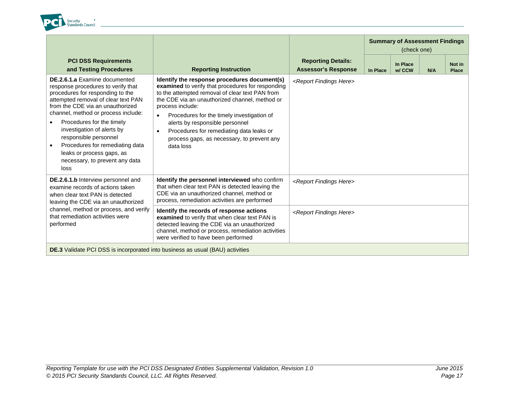

|                                                                                                                                                                                                                                                                                                                                                                                                                                |                                                                                                                                                                                                                                                                                                                                                                                                                                              |                                                         | <b>Summary of Assessment Findings</b><br>(check one) |                    |     |                        |
|--------------------------------------------------------------------------------------------------------------------------------------------------------------------------------------------------------------------------------------------------------------------------------------------------------------------------------------------------------------------------------------------------------------------------------|----------------------------------------------------------------------------------------------------------------------------------------------------------------------------------------------------------------------------------------------------------------------------------------------------------------------------------------------------------------------------------------------------------------------------------------------|---------------------------------------------------------|------------------------------------------------------|--------------------|-----|------------------------|
| <b>PCI DSS Requirements</b><br>and Testing Procedures                                                                                                                                                                                                                                                                                                                                                                          | <b>Reporting Instruction</b>                                                                                                                                                                                                                                                                                                                                                                                                                 | <b>Reporting Details:</b><br><b>Assessor's Response</b> | In Place                                             | In Place<br>w/ CCW | N/A | Not in<br><b>Place</b> |
| <b>DE.2.6.1.a</b> Examine documented<br>response procedures to verify that<br>procedures for responding to the<br>attempted removal of clear text PAN<br>from the CDE via an unauthorized<br>channel, method or process include:<br>Procedures for the timely<br>investigation of alerts by<br>responsible personnel<br>Procedures for remediating data<br>leaks or process gaps, as<br>necessary, to prevent any data<br>loss | Identify the response procedures document(s)<br>examined to verify that procedures for responding<br>to the attempted removal of clear text PAN from<br>the CDE via an unauthorized channel, method or<br>process include:<br>Procedures for the timely investigation of<br>$\bullet$<br>alerts by responsible personnel<br>Procedures for remediating data leaks or<br>$\bullet$<br>process gaps, as necessary, to prevent any<br>data loss | <report findings="" here=""></report>                   |                                                      |                    |     |                        |
| DE.2.6.1.b Interview personnel and<br>examine records of actions taken<br>when clear text PAN is detected<br>leaving the CDE via an unauthorized                                                                                                                                                                                                                                                                               | Identify the personnel interviewed who confirm<br>that when clear text PAN is detected leaving the<br>CDE via an unauthorized channel, method or<br>process, remediation activities are performed                                                                                                                                                                                                                                            | <report findings="" here=""></report>                   |                                                      |                    |     |                        |
| channel, method or process, and verify<br>that remediation activities were<br>performed                                                                                                                                                                                                                                                                                                                                        | Identify the records of response actions<br>examined to verify that when clear text PAN is<br>detected leaving the CDE via an unauthorized<br>channel, method or process, remediation activities<br>were verified to have been performed                                                                                                                                                                                                     | <report findings="" here=""></report>                   |                                                      |                    |     |                        |
| <b>DE.3</b> Validate PCI DSS is incorporated into business as usual (BAU) activities                                                                                                                                                                                                                                                                                                                                           |                                                                                                                                                                                                                                                                                                                                                                                                                                              |                                                         |                                                      |                    |     |                        |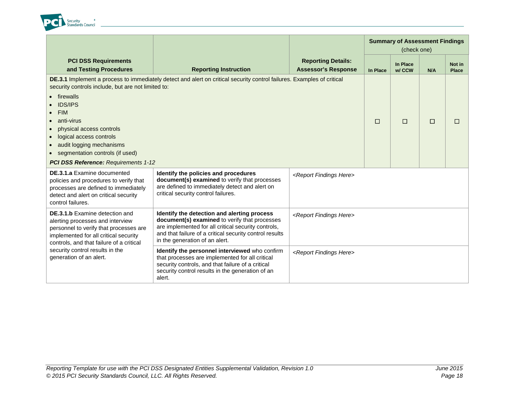

|                                                                                                                                                                                                          |                                                                                                                                                                                                                                                  |                                                         | <b>Summary of Assessment Findings</b><br>(check one) |                    |     |                        |
|----------------------------------------------------------------------------------------------------------------------------------------------------------------------------------------------------------|--------------------------------------------------------------------------------------------------------------------------------------------------------------------------------------------------------------------------------------------------|---------------------------------------------------------|------------------------------------------------------|--------------------|-----|------------------------|
| <b>PCI DSS Requirements</b><br>and Testing Procedures                                                                                                                                                    | <b>Reporting Instruction</b>                                                                                                                                                                                                                     | <b>Reporting Details:</b><br><b>Assessor's Response</b> | In Place                                             | In Place<br>w/ CCW | N/A | Not in<br><b>Place</b> |
| security controls include, but are not limited to:                                                                                                                                                       | DE.3.1 Implement a process to immediately detect and alert on critical security control failures. Examples of critical                                                                                                                           |                                                         |                                                      |                    |     |                        |
| firewalls<br><b>IDS/IPS</b><br><b>FIM</b><br>anti-virus                                                                                                                                                  |                                                                                                                                                                                                                                                  |                                                         | $\Box$                                               | $\Box$             | □   | $\Box$                 |
| physical access controls<br>logical access controls<br>$\bullet$<br>audit logging mechanisms<br>segmentation controls (if used)<br><b>PCI DSS Reference: Requirements 1-12</b>                           |                                                                                                                                                                                                                                                  |                                                         |                                                      |                    |     |                        |
| <b>DE.3.1.a</b> Examine documented<br>policies and procedures to verify that<br>processes are defined to immediately<br>detect and alert on critical security<br>control failures.                       | Identify the policies and procedures<br>document(s) examined to verify that processes<br>are defined to immediately detect and alert on<br>critical security control failures.                                                                   | <report findings="" here=""></report>                   |                                                      |                    |     |                        |
| <b>DE.3.1.b</b> Examine detection and<br>alerting processes and interview<br>personnel to verify that processes are<br>implemented for all critical security<br>controls, and that failure of a critical | Identify the detection and alerting process<br>document(s) examined to verify that processes<br>are implemented for all critical security controls,<br>and that failure of a critical security control results<br>in the generation of an alert. | <report findings="" here=""></report>                   |                                                      |                    |     |                        |
| security control results in the<br>generation of an alert.                                                                                                                                               | Identify the personnel interviewed who confirm<br>that processes are implemented for all critical<br>security controls, and that failure of a critical<br>security control results in the generation of an<br>alert.                             | <report findings="" here=""></report>                   |                                                      |                    |     |                        |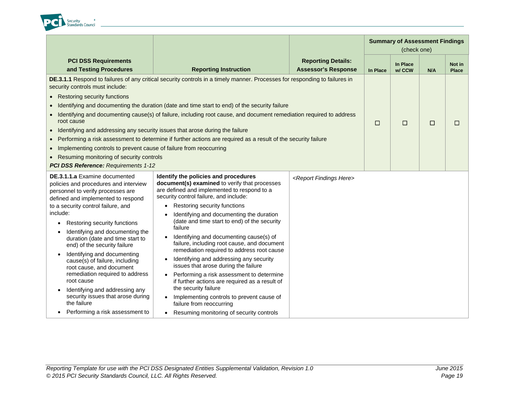

|                                                                                                                                                                                                                                                                                                                                                                                                                                                                                                                                                                                                                                |                                                                                                                                                                                                                                                                                                                                                                                                                                                                                                                                                                                                                                                                                                                                                                                              |                                                         | <b>Summary of Assessment Findings</b><br>(check one) |                    |     |                        |
|--------------------------------------------------------------------------------------------------------------------------------------------------------------------------------------------------------------------------------------------------------------------------------------------------------------------------------------------------------------------------------------------------------------------------------------------------------------------------------------------------------------------------------------------------------------------------------------------------------------------------------|----------------------------------------------------------------------------------------------------------------------------------------------------------------------------------------------------------------------------------------------------------------------------------------------------------------------------------------------------------------------------------------------------------------------------------------------------------------------------------------------------------------------------------------------------------------------------------------------------------------------------------------------------------------------------------------------------------------------------------------------------------------------------------------------|---------------------------------------------------------|------------------------------------------------------|--------------------|-----|------------------------|
| <b>PCI DSS Requirements</b><br>and Testing Procedures                                                                                                                                                                                                                                                                                                                                                                                                                                                                                                                                                                          | <b>Reporting Instruction</b>                                                                                                                                                                                                                                                                                                                                                                                                                                                                                                                                                                                                                                                                                                                                                                 | <b>Reporting Details:</b><br><b>Assessor's Response</b> | In Place                                             | In Place<br>w/ CCW | N/A | Not in<br><b>Place</b> |
| security controls must include:<br>• Restoring security functions<br>root cause<br>Identifying and addressing any security issues that arose during the failure<br>$\bullet$<br>Implementing controls to prevent cause of failure from reoccurring<br>$\bullet$<br>Resuming monitoring of security controls<br>PCI DSS Reference: Requirements 1-12                                                                                                                                                                                                                                                                            | DE.3.1.1 Respond to failures of any critical security controls in a timely manner. Processes for responding to failures in<br>Identifying and documenting the duration (date and time start to end) of the security failure<br>Identifying and documenting cause(s) of failure, including root cause, and document remediation required to address<br>Performing a risk assessment to determine if further actions are required as a result of the security failure                                                                                                                                                                                                                                                                                                                          |                                                         | $\Box$                                               | $\Box$             | □   | □                      |
| DE.3.1.1.a Examine documented<br>policies and procedures and interview<br>personnel to verify processes are<br>defined and implemented to respond<br>to a security control failure, and<br>include:<br>Restoring security functions<br>$\bullet$<br>Identifying and documenting the<br>duration (date and time start to<br>end) of the security failure<br>Identifying and documenting<br>cause(s) of failure, including<br>root cause, and document<br>remediation required to address<br>root cause<br>Identifying and addressing any<br>security issues that arose during<br>the failure<br>Performing a risk assessment to | Identify the policies and procedures<br>document(s) examined to verify that processes<br>are defined and implemented to respond to a<br>security control failure, and include:<br>Restoring security functions<br>Identifying and documenting the duration<br>(date and time start to end) of the security<br>failure<br>Identifying and documenting cause(s) of<br>failure, including root cause, and document<br>remediation required to address root cause<br>Identifying and addressing any security<br>issues that arose during the failure<br>Performing a risk assessment to determine<br>if further actions are required as a result of<br>the security failure<br>Implementing controls to prevent cause of<br>failure from reoccurring<br>Resuming monitoring of security controls | <report findings="" here=""></report>                   |                                                      |                    |     |                        |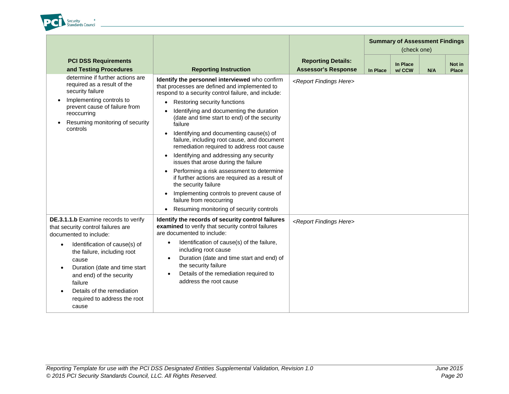

|                                                                                                                                                                                                                                                                                                                                                        |                                                                                                                                                                                                                                                                                                                                                                                                                                                                                                                                                                                                                                                                                                                                                                                                                          |                                                         | <b>Summary of Assessment Findings</b><br>(check one) |                    |     |                        |
|--------------------------------------------------------------------------------------------------------------------------------------------------------------------------------------------------------------------------------------------------------------------------------------------------------------------------------------------------------|--------------------------------------------------------------------------------------------------------------------------------------------------------------------------------------------------------------------------------------------------------------------------------------------------------------------------------------------------------------------------------------------------------------------------------------------------------------------------------------------------------------------------------------------------------------------------------------------------------------------------------------------------------------------------------------------------------------------------------------------------------------------------------------------------------------------------|---------------------------------------------------------|------------------------------------------------------|--------------------|-----|------------------------|
| <b>PCI DSS Requirements</b><br>and Testing Procedures                                                                                                                                                                                                                                                                                                  | <b>Reporting Instruction</b>                                                                                                                                                                                                                                                                                                                                                                                                                                                                                                                                                                                                                                                                                                                                                                                             | <b>Reporting Details:</b><br><b>Assessor's Response</b> | In Place                                             | In Place<br>w/ CCW | N/A | Not in<br><b>Place</b> |
| determine if further actions are<br>required as a result of the<br>security failure<br>Implementing controls to<br>prevent cause of failure from<br>reoccurring<br>Resuming monitoring of security<br>controls                                                                                                                                         | Identify the personnel interviewed who confirm<br>that processes are defined and implemented to<br>respond to a security control failure, and include:<br>Restoring security functions<br>$\bullet$<br>Identifying and documenting the duration<br>$\bullet$<br>(date and time start to end) of the security<br>failure<br>Identifying and documenting cause(s) of<br>$\bullet$<br>failure, including root cause, and document<br>remediation required to address root cause<br>Identifying and addressing any security<br>$\bullet$<br>issues that arose during the failure<br>Performing a risk assessment to determine<br>if further actions are required as a result of<br>the security failure<br>Implementing controls to prevent cause of<br>failure from reoccurring<br>Resuming monitoring of security controls | <report findings="" here=""></report>                   |                                                      |                    |     |                        |
| DE.3.1.1.b Examine records to verify<br>that security control failures are<br>documented to include:<br>Identification of cause(s) of<br>$\bullet$<br>the failure, including root<br>cause<br>Duration (date and time start<br>$\bullet$<br>and end) of the security<br>failure<br>Details of the remediation<br>required to address the root<br>cause | Identify the records of security control failures<br>examined to verify that security control failures<br>are documented to include:<br>Identification of cause(s) of the failure,<br>$\bullet$<br>including root cause<br>Duration (date and time start and end) of<br>$\bullet$<br>the security failure<br>Details of the remediation required to<br>$\bullet$<br>address the root cause                                                                                                                                                                                                                                                                                                                                                                                                                               | <report findings="" here=""></report>                   |                                                      |                    |     |                        |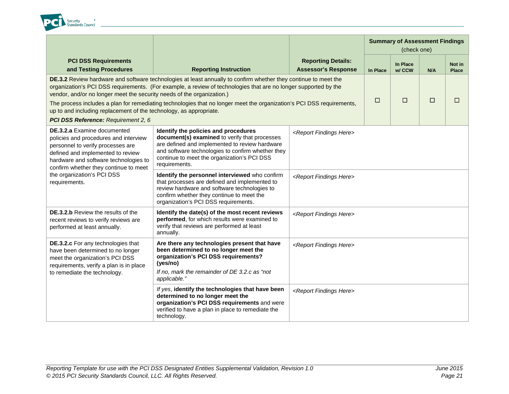

|                                                                                                                                                                                                                                                                                                                                                                                                                                                                                                                                                    |                                                                                                                                                                                                                                                              |                                                         | <b>Summary of Assessment Findings</b><br>(check one) |                    |     |                        |
|----------------------------------------------------------------------------------------------------------------------------------------------------------------------------------------------------------------------------------------------------------------------------------------------------------------------------------------------------------------------------------------------------------------------------------------------------------------------------------------------------------------------------------------------------|--------------------------------------------------------------------------------------------------------------------------------------------------------------------------------------------------------------------------------------------------------------|---------------------------------------------------------|------------------------------------------------------|--------------------|-----|------------------------|
| <b>PCI DSS Requirements</b><br>and Testing Procedures                                                                                                                                                                                                                                                                                                                                                                                                                                                                                              | <b>Reporting Instruction</b>                                                                                                                                                                                                                                 | <b>Reporting Details:</b><br><b>Assessor's Response</b> | <b>In Place</b>                                      | In Place<br>w/ CCW | N/A | Not in<br><b>Place</b> |
| DE.3.2 Review hardware and software technologies at least annually to confirm whether they continue to meet the<br>organization's PCI DSS requirements. (For example, a review of technologies that are no longer supported by the<br>vendor, and/or no longer meet the security needs of the organization.)<br>The process includes a plan for remediating technologies that no longer meet the organization's PCI DSS requirements,<br>up to and including replacement of the technology, as appropriate.<br>PCI DSS Reference: Requirement 2, 6 | $\Box$                                                                                                                                                                                                                                                       | П                                                       | □                                                    | □                  |     |                        |
| <b>DE.3.2.a</b> Examine documented<br>policies and procedures and interview<br>personnel to verify processes are<br>defined and implemented to review<br>hardware and software technologies to                                                                                                                                                                                                                                                                                                                                                     | Identify the policies and procedures<br>document(s) examined to verify that processes<br>are defined and implemented to review hardware<br>and software technologies to confirm whether they<br>continue to meet the organization's PCI DSS<br>requirements. | <report findings="" here=""></report>                   |                                                      |                    |     |                        |
| confirm whether they continue to meet<br>the organization's PCI DSS<br>requirements.                                                                                                                                                                                                                                                                                                                                                                                                                                                               | Identify the personnel interviewed who confirm<br>that processes are defined and implemented to<br>review hardware and software technologies to<br>confirm whether they continue to meet the<br>organization's PCI DSS requirements.                         | <report findings="" here=""></report>                   |                                                      |                    |     |                        |
| <b>DE.3.2.b</b> Review the results of the<br>recent reviews to verify reviews are<br>performed at least annually.                                                                                                                                                                                                                                                                                                                                                                                                                                  | Identify the date(s) of the most recent reviews<br>performed, for which results were examined to<br>verify that reviews are performed at least<br>annually.                                                                                                  | <report findings="" here=""></report>                   |                                                      |                    |     |                        |
| DE.3.2.c For any technologies that<br>have been determined to no longer<br>meet the organization's PCI DSS<br>requirements, verify a plan is in place<br>to remediate the technology.                                                                                                                                                                                                                                                                                                                                                              | Are there any technologies present that have<br>been determined to no longer meet the<br>organization's PCI DSS requirements?<br>(yes/no)<br>If no, mark the remainder of DE 3.2.c as "not<br>applicable."                                                   | <report findings="" here=""></report>                   |                                                      |                    |     |                        |
|                                                                                                                                                                                                                                                                                                                                                                                                                                                                                                                                                    | If yes, identify the technologies that have been<br>determined to no longer meet the<br>organization's PCI DSS requirements and were<br>verified to have a plan in place to remediate the<br>technology.                                                     | <report findings="" here=""></report>                   |                                                      |                    |     |                        |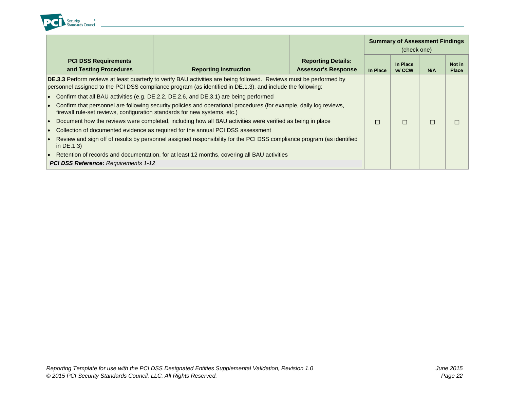

|                                                                                                                                                                                                 |                                                                                                                                                                                                                                          |                                                                                                           |                                                         |          | <b>Summary of Assessment Findings</b><br>(check one) |     |                        |
|-------------------------------------------------------------------------------------------------------------------------------------------------------------------------------------------------|------------------------------------------------------------------------------------------------------------------------------------------------------------------------------------------------------------------------------------------|-----------------------------------------------------------------------------------------------------------|---------------------------------------------------------|----------|------------------------------------------------------|-----|------------------------|
|                                                                                                                                                                                                 | <b>PCI DSS Requirements</b><br>and Testing Procedures                                                                                                                                                                                    | <b>Reporting Instruction</b>                                                                              | <b>Reporting Details:</b><br><b>Assessor's Response</b> | In Place | In Place<br>w/ CCW                                   | N/A | Not in<br><b>Place</b> |
|                                                                                                                                                                                                 | <b>DE.3.3</b> Perform reviews at least quarterly to verify BAU activities are being followed. Reviews must be performed by<br>personnel assigned to the PCI DSS compliance program (as identified in DE.1.3), and include the following: |                                                                                                           |                                                         |          |                                                      |     |                        |
| Confirm that all BAU activities (e.g. DE.2.2, DE.2.6, and DE.3.1) are being performed                                                                                                           |                                                                                                                                                                                                                                          |                                                                                                           |                                                         |          |                                                      |     |                        |
| Confirm that personnel are following security policies and operational procedures (for example, daily log reviews,<br>firewall rule-set reviews, configuration standards for new systems, etc.) |                                                                                                                                                                                                                                          |                                                                                                           |                                                         |          |                                                      |     |                        |
|                                                                                                                                                                                                 |                                                                                                                                                                                                                                          | Document how the reviews were completed, including how all BAU activities were verified as being in place |                                                         | П        | П                                                    | П   | $\Box$                 |
|                                                                                                                                                                                                 |                                                                                                                                                                                                                                          | Collection of documented evidence as required for the annual PCI DSS assessment                           |                                                         |          |                                                      |     |                        |
|                                                                                                                                                                                                 | Review and sign off of results by personnel assigned responsibility for the PCI DSS compliance program (as identified<br>in $DE.1.3$                                                                                                     |                                                                                                           |                                                         |          |                                                      |     |                        |
| lo                                                                                                                                                                                              |                                                                                                                                                                                                                                          | Retention of records and documentation, for at least 12 months, covering all BAU activities               |                                                         |          |                                                      |     |                        |
|                                                                                                                                                                                                 | <b>PCI DSS Reference: Requirements 1-12</b>                                                                                                                                                                                              |                                                                                                           |                                                         |          |                                                      |     |                        |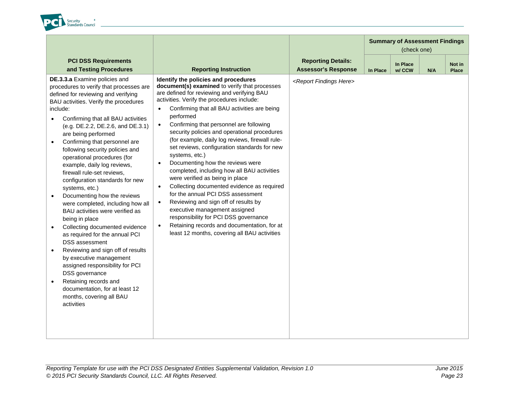

|                                                                                                                                                                                                                                                                                                                                                                                                                                                                                                                                                                                                                                                                                                                                                                                                                                                                                                                                                                                                                           |                                                                                                                                                                                                                                                                                                                                                                                                                                                                                                                                                                                                                                                                                                                                                                                                                                                                                                                                                            |                                                         | <b>Summary of Assessment Findings</b><br>(check one) |                    |     |                        |
|---------------------------------------------------------------------------------------------------------------------------------------------------------------------------------------------------------------------------------------------------------------------------------------------------------------------------------------------------------------------------------------------------------------------------------------------------------------------------------------------------------------------------------------------------------------------------------------------------------------------------------------------------------------------------------------------------------------------------------------------------------------------------------------------------------------------------------------------------------------------------------------------------------------------------------------------------------------------------------------------------------------------------|------------------------------------------------------------------------------------------------------------------------------------------------------------------------------------------------------------------------------------------------------------------------------------------------------------------------------------------------------------------------------------------------------------------------------------------------------------------------------------------------------------------------------------------------------------------------------------------------------------------------------------------------------------------------------------------------------------------------------------------------------------------------------------------------------------------------------------------------------------------------------------------------------------------------------------------------------------|---------------------------------------------------------|------------------------------------------------------|--------------------|-----|------------------------|
| <b>PCI DSS Requirements</b><br>and Testing Procedures                                                                                                                                                                                                                                                                                                                                                                                                                                                                                                                                                                                                                                                                                                                                                                                                                                                                                                                                                                     | <b>Reporting Instruction</b>                                                                                                                                                                                                                                                                                                                                                                                                                                                                                                                                                                                                                                                                                                                                                                                                                                                                                                                               | <b>Reporting Details:</b><br><b>Assessor's Response</b> | <b>In Place</b>                                      | In Place<br>w/ CCW | N/A | Not in<br><b>Place</b> |
| DE.3.3.a Examine policies and<br>procedures to verify that processes are<br>defined for reviewing and verifying<br>BAU activities. Verify the procedures<br>include:<br>Confirming that all BAU activities<br>$\bullet$<br>(e.g. DE.2.2, DE.2.6, and DE.3.1)<br>are being performed<br>Confirming that personnel are<br>$\bullet$<br>following security policies and<br>operational procedures (for<br>example, daily log reviews,<br>firewall rule-set reviews,<br>configuration standards for new<br>systems, etc.)<br>Documenting how the reviews<br>$\bullet$<br>were completed, including how all<br>BAU activities were verified as<br>being in place<br>Collecting documented evidence<br>$\bullet$<br>as required for the annual PCI<br><b>DSS</b> assessment<br>Reviewing and sign off of results<br>$\bullet$<br>by executive management<br>assigned responsibility for PCI<br>DSS governance<br>Retaining records and<br>$\bullet$<br>documentation, for at least 12<br>months, covering all BAU<br>activities | Identify the policies and procedures<br>document(s) examined to verify that processes<br>are defined for reviewing and verifying BAU<br>activities. Verify the procedures include:<br>Confirming that all BAU activities are being<br>performed<br>Confirming that personnel are following<br>$\bullet$<br>security policies and operational procedures<br>(for example, daily log reviews, firewall rule-<br>set reviews, configuration standards for new<br>systems, etc.)<br>Documenting how the reviews were<br>$\bullet$<br>completed, including how all BAU activities<br>were verified as being in place<br>Collecting documented evidence as required<br>$\bullet$<br>for the annual PCI DSS assessment<br>Reviewing and sign off of results by<br>$\bullet$<br>executive management assigned<br>responsibility for PCI DSS governance<br>Retaining records and documentation, for at<br>$\bullet$<br>least 12 months, covering all BAU activities | <report findings="" here=""></report>                   |                                                      |                    |     |                        |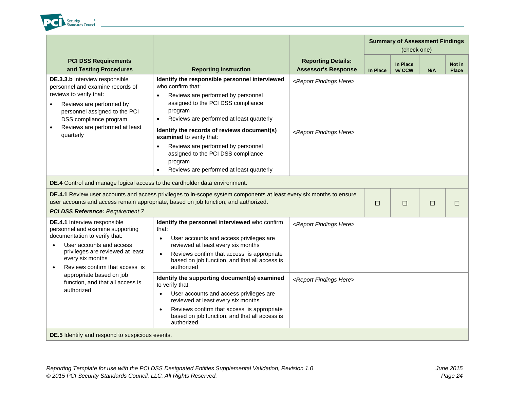

|                                                                                                                                                                                                                                                                                                                                                               |                                                                                                                                                                                                                                                                                                                                                                                                                                                                                                                                                                            |                                                                                 | <b>Summary of Assessment Findings</b><br>(check one) |                    |     |                        |
|---------------------------------------------------------------------------------------------------------------------------------------------------------------------------------------------------------------------------------------------------------------------------------------------------------------------------------------------------------------|----------------------------------------------------------------------------------------------------------------------------------------------------------------------------------------------------------------------------------------------------------------------------------------------------------------------------------------------------------------------------------------------------------------------------------------------------------------------------------------------------------------------------------------------------------------------------|---------------------------------------------------------------------------------|------------------------------------------------------|--------------------|-----|------------------------|
| <b>PCI DSS Requirements</b><br>and Testing Procedures                                                                                                                                                                                                                                                                                                         | <b>Reporting Instruction</b>                                                                                                                                                                                                                                                                                                                                                                                                                                                                                                                                               | <b>Reporting Details:</b><br><b>Assessor's Response</b>                         | In Place                                             | In Place<br>w/ CCW | N/A | Not in<br><b>Place</b> |
| DE.3.3.b Interview responsible<br>personnel and examine records of<br>reviews to verify that:<br>Reviews are performed by<br>$\bullet$<br>personnel assigned to the PCI<br>DSS compliance program<br>Reviews are performed at least<br>quarterly                                                                                                              | Identify the responsible personnel interviewed<br>who confirm that:<br>Reviews are performed by personnel<br>$\bullet$<br>assigned to the PCI DSS compliance<br>program<br>Reviews are performed at least quarterly<br>$\bullet$                                                                                                                                                                                                                                                                                                                                           | <report findings="" here=""></report>                                           |                                                      |                    |     |                        |
|                                                                                                                                                                                                                                                                                                                                                               | Identify the records of reviews document(s)<br>examined to verify that:<br>Reviews are performed by personnel<br>$\bullet$<br>assigned to the PCI DSS compliance<br>program<br>Reviews are performed at least quarterly<br>$\bullet$                                                                                                                                                                                                                                                                                                                                       | <report findings="" here=""></report>                                           |                                                      |                    |     |                        |
| DE.4 Control and manage logical access to the cardholder data environment.                                                                                                                                                                                                                                                                                    |                                                                                                                                                                                                                                                                                                                                                                                                                                                                                                                                                                            |                                                                                 |                                                      |                    |     |                        |
|                                                                                                                                                                                                                                                                                                                                                               | DE.4.1 Review user accounts and access privileges to in-scope system components at least every six months to ensure<br>user accounts and access remain appropriate, based on job function, and authorized.                                                                                                                                                                                                                                                                                                                                                                 |                                                                                 | $\Box$                                               | $\Box$             | □   | $\Box$                 |
| <b>PCI DSS Reference: Requirement 7</b><br>DE.4.1 Interview responsible<br>personnel and examine supporting<br>documentation to verify that:<br>User accounts and access<br>privileges are reviewed at least<br>every six months<br>Reviews confirm that access is<br>$\bullet$<br>appropriate based on job<br>function, and that all access is<br>authorized | Identify the personnel interviewed who confirm<br>that:<br>User accounts and access privileges are<br>$\bullet$<br>reviewed at least every six months<br>Reviews confirm that access is appropriate<br>$\bullet$<br>based on job function, and that all access is<br>authorized<br>Identify the supporting document(s) examined<br>to verify that:<br>User accounts and access privileges are<br>$\bullet$<br>reviewed at least every six months<br>Reviews confirm that access is appropriate<br>$\bullet$<br>based on job function, and that all access is<br>authorized | <report findings="" here=""><br/><report findings="" here=""></report></report> |                                                      |                    |     |                        |
| DE.5 Identify and respond to suspicious events.                                                                                                                                                                                                                                                                                                               |                                                                                                                                                                                                                                                                                                                                                                                                                                                                                                                                                                            |                                                                                 |                                                      |                    |     |                        |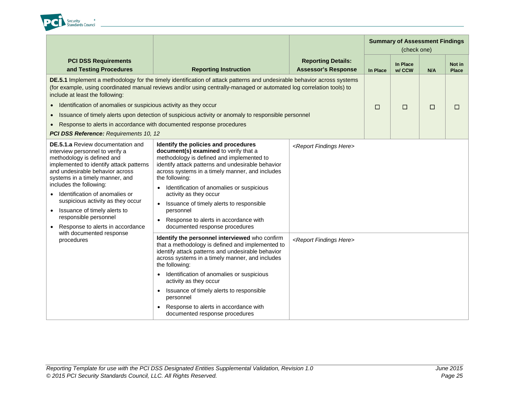

|                                                                                                                                                                                                                                                                                                                                                                                                                                                       |                                                                                                                                                                                                                                                                                                                                                                                                                                                                                           |                                                         | <b>Summary of Assessment Findings</b> |                    |        |                        |
|-------------------------------------------------------------------------------------------------------------------------------------------------------------------------------------------------------------------------------------------------------------------------------------------------------------------------------------------------------------------------------------------------------------------------------------------------------|-------------------------------------------------------------------------------------------------------------------------------------------------------------------------------------------------------------------------------------------------------------------------------------------------------------------------------------------------------------------------------------------------------------------------------------------------------------------------------------------|---------------------------------------------------------|---------------------------------------|--------------------|--------|------------------------|
| <b>PCI DSS Requirements</b><br>and Testing Procedures                                                                                                                                                                                                                                                                                                                                                                                                 | <b>Reporting Instruction</b>                                                                                                                                                                                                                                                                                                                                                                                                                                                              | <b>Reporting Details:</b><br><b>Assessor's Response</b> | In Place                              | In Place<br>w/ CCW | N/A    | Not in<br><b>Place</b> |
| include at least the following:<br>• Identification of anomalies or suspicious activity as they occur<br>• Response to alerts in accordance with documented response procedures<br>PCI DSS Reference: Requirements 10, 12                                                                                                                                                                                                                             | DE.5.1 Implement a methodology for the timely identification of attack patterns and undesirable behavior across systems<br>(for example, using coordinated manual reviews and/or using centrally-managed or automated log correlation tools) to<br>Issuance of timely alerts upon detection of suspicious activity or anomaly to responsible personnel                                                                                                                                    |                                                         | $\Box$                                | $\Box$             | $\Box$ | $\Box$                 |
| <b>DE.5.1.a</b> Review documentation and<br>interview personnel to verify a<br>methodology is defined and<br>implemented to identify attack patterns<br>and undesirable behavior across<br>systems in a timely manner, and<br>includes the following:<br>Identification of anomalies or<br>$\bullet$<br>suspicious activity as they occur<br>Issuance of timely alerts to<br>$\bullet$<br>responsible personnel<br>• Response to alerts in accordance | Identify the policies and procedures<br>document(s) examined to verify that a<br>methodology is defined and implemented to<br>identify attack patterns and undesirable behavior<br>across systems in a timely manner, and includes<br>the following:<br>Identification of anomalies or suspicious<br>activity as they occur<br>Issuance of timely alerts to responsible<br>$\bullet$<br>personnel<br>Response to alerts in accordance with<br>$\bullet$<br>documented response procedures | <report findings="" here=""></report>                   |                                       |                    |        |                        |
| with documented response<br>procedures                                                                                                                                                                                                                                                                                                                                                                                                                | Identify the personnel interviewed who confirm<br>that a methodology is defined and implemented to<br>identify attack patterns and undesirable behavior<br>across systems in a timely manner, and includes<br>the following:<br>Identification of anomalies or suspicious<br>activity as they occur<br>Issuance of timely alerts to responsible<br>personnel<br>Response to alerts in accordance with<br>documented response procedures                                                   | <report findings="" here=""></report>                   |                                       |                    |        |                        |